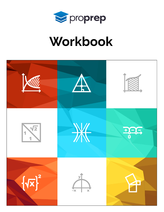

# Workbook

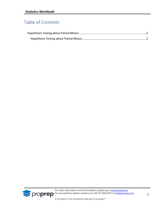## Table of Contents



For more information and all the solutions, please go to [www.proprep.uk.](http://www.proprep.uk/) **Solution any questions please contact us at +44-161-850-4375 or [info@proprep.com.](mailto:info@proprep.com)** 

© All rights in this workbook reserved to proprep™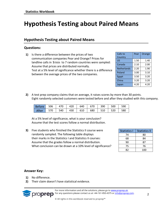# <span id="page-2-0"></span>**Hypothesis Testing about Paired Means**

### <span id="page-2-1"></span>**Hypothesis Testing about Paired Means**

#### **Questions:**

**1)** Is there a difference between the prices of two communication companies Pear and Orange? Prices for landline calls in \$/min to 7 random countries were sampled: Assume that prices are distributed normally. Test at a 5% level of significance whether there is a difference between the average prices of the two companies.

| Calls to           | Pear | Orange |
|--------------------|------|--------|
| Country            |      |        |
| US                 | 1.50 | 1.40   |
| Canada             | 2.10 | 2.00   |
| <b>Netherlands</b> | 2.20 | 1.90   |
| Poland             | 3.00 | 3.10   |
| Egypt              | 3.50 | 3.20   |
| China              | 3.20 | 3.20   |
| Japan              | 4.20 | 4.20   |

**2)** A test prep company claims that on average, it raises scores by more than 30 points. Eight randomly selected customers were tested before and after they studied with this company.

| Before 506 470 420 640 670 390 |                                             |  |     | $241$ 1 500 1 $-1$              | 590 |
|--------------------------------|---------------------------------------------|--|-----|---------------------------------|-----|
| After   570                    | $\vert$ 540 $\vert$ 430 $\vert$ 610 $\vert$ |  | 680 | $\vert$ 510 $\vert$ 520 $\vert$ | 580 |

At a 5% level of significance, what is your conclusion? Assume that the test scores follow a normal distribution.

**3)** Five students who finished the Statistics II course were randomly sampled. The following table displays their marks in the Statistics I and Statistics II courses: Assume that the grades follow a normal distribution. What conclusion can be drawn at a 10% level of significance?

| <b>Statistics I</b> | <b>Statistics II</b> |
|---------------------|----------------------|
| 74                  | 80                   |
| 68                  | 84                   |
| 90                  | 87                   |
| 75                  | 76                   |
| 82                  | 100                  |

#### **Answer Key:**

- **1)** No difference.
- **2)** Their claim doesn't have statistical evidence.